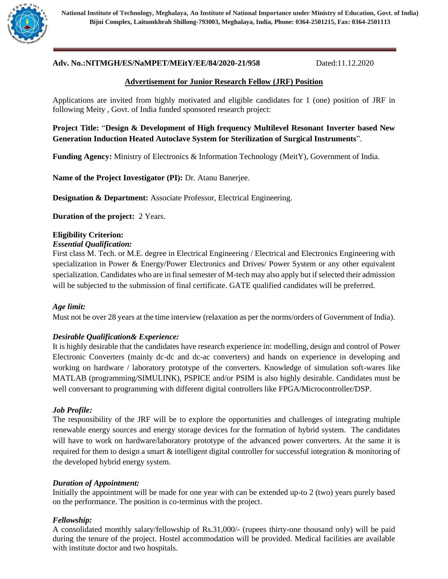

**National Institute of Technology, Meghalaya, An Institute of National Importance under Ministry of Education, Govt. of India) Bijni Complex, Laitumkhrah Shillong-793003, Meghalaya, India, Phone: 0364-2501215, Fax: 0364-2501113**

# **Adv. No.:NITMGH/ES/NaMPET/MEitY/EE/84/2020-21/958** Dated:11.12.2020

### **Advertisement for Junior Research Fellow (JRF) Position**

Applications are invited from highly motivated and eligible candidates for 1 (one) position of JRF in following Meity , Govt. of India funded sponsored research project:

**Project Title:** "**Design & Development of High frequency Multilevel Resonant Inverter based New Generation Induction Heated Autoclave System for Sterilization of Surgical Instruments**".

**Funding Agency:** Ministry of Electronics & Information Technology (MeitY), Government of India.

**Name of the Project Investigator (PI):** Dr. Atanu Banerjee.

**Designation & Department:** Associate Professor, Electrical Engineering.

**Duration of the project:** 2 Years.

### **Eligibility Criterion:**

#### *Essential Qualification:*

First class M. Tech. or M.E. degree in Electrical Engineering / Electrical and Electronics Engineering with specialization in Power & Energy/Power Electronics and Drives/ Power System or any other equivalent specialization. Candidates who are in final semester of M-tech may also apply but if selected their admission will be subjected to the submission of final certificate. GATE qualified candidates will be preferred.

#### *Age limit:*

Must not be over 28 years at the time interview (relaxation as per the norms/orders of Government of India).

#### *Desirable Qualification& Experience:*

It is highly desirable that the candidates have research experience in: modelling, design and control of Power Electronic Converters (mainly dc-dc and dc-ac converters) and hands on experience in developing and working on hardware / laboratory prototype of the converters. Knowledge of simulation soft-wares like MATLAB (programming/SIMULINK), PSPICE and/or PSIM is also highly desirable. Candidates must be well conversant to programming with different digital controllers like FPGA/Microcontroller/DSP.

### *Job Profile:*

The responsibility of the JRF will be to explore the opportunities and challenges of integrating multiple renewable energy sources and energy storage devices for the formation of hybrid system. The candidates will have to work on hardware/laboratory prototype of the advanced power converters. At the same it is required for them to design a smart & intelligent digital controller for successful integration & monitoring of the developed hybrid energy system.

#### *Duration of Appointment:*

Initially the appointment will be made for one year with can be extended up-to 2 (two) years purely based on the performance. The position is co-terminus with the project.

## *Fellowship:*

A consolidated monthly salary/fellowship of Rs.31,000/- (rupees thirty-one thousand only) will be paid during the tenure of the project. Hostel accommodation will be provided. Medical facilities are available with institute doctor and two hospitals.